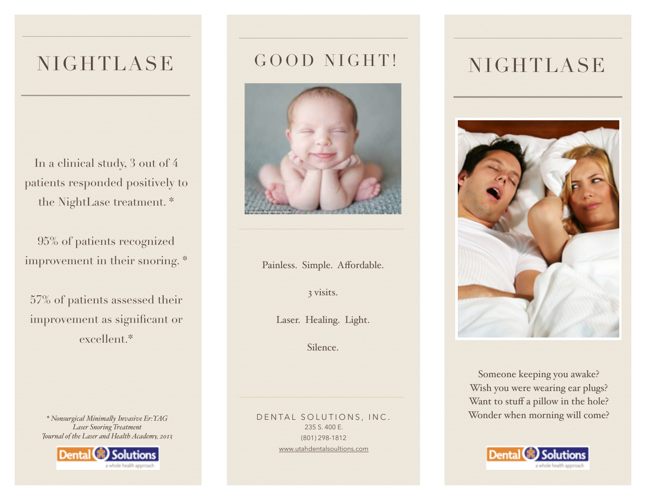## NIGHTLASE

In a clinical study, 3 out of 4 patients responded positively to the NightLase treatment. \*

95% of patients recognized improvement in their snoring. \*

57% of patients assessed their improvement as significant or excellent.\*

*Laser Snoring Treatment Journal of the Laser and Health Academy, 2013*



## GOOD NIGHT!



Painless. Simple. Affordable.

3 visits.

Laser. Healing. Light.

Silence.

DENTAL SOLUTIONS, INC. 235 S. 400 E. (801) 298-1812 [www.utahdentalsoultions.com](http://www.utahdentalsoultions.com)

## NIGHTLASE



Someone keeping you awake? Wish you were wearing ear plugs? Want to stuff a pillow in the hole? Wonder when morning will come? *\* Nonsurgical Minimaly Invasive Er:YAG*